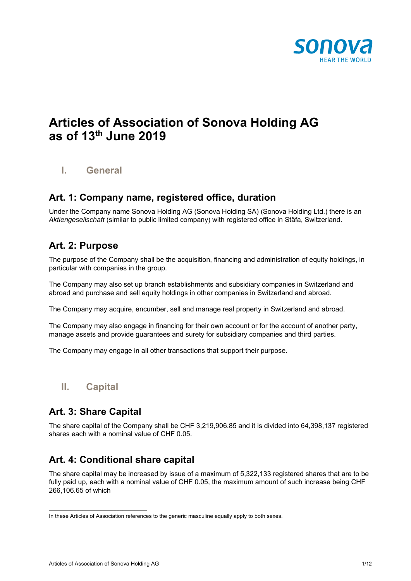

# **Articles of Association of Sonova Holding AG as of 13th June 2019**

**I. General** 

#### **Art. 1: Company name, registered office, duration**

Under the Company name Sonova Holding AG (Sonova Holding SA) (Sonova Holding Ltd.) there is an *Aktiengesellschaft* (similar to public limited company) with registered office in Stäfa, Switzerland.

#### **Art. 2: Purpose**

The purpose of the Company shall be the acquisition, financing and administration of equity holdings, in particular with companies in the group.

The Company may also set up branch establishments and subsidiary companies in Switzerland and abroad and purchase and sell equity holdings in other companies in Switzerland and abroad.

The Company may acquire, encumber, sell and manage real property in Switzerland and abroad.

The Company may also engage in financing for their own account or for the account of another party, manage assets and provide guarantees and surety for subsidiary companies and third parties.

The Company may engage in all other transactions that support their purpose.

**II. Capital** 

## **Art. 3: Share Capital**

The share capital of the Company shall be CHF 3,219,906.85 and it is divided into 64,398,137 registered shares each with a nominal value of CHF 0.05.

# **Art. 4: Conditional share capital**

The share capital may be increased by issue of a maximum of 5,322,133 registered shares that are to be fully paid up, each with a nominal value of CHF 0.05, the maximum amount of such increase being CHF 266,106.65 of which

\_\_\_\_\_\_\_\_\_\_\_\_\_\_\_\_\_\_\_\_\_\_\_\_\_\_\_\_\_\_\_\_

In these Articles of Association references to the generic masculine equally apply to both sexes.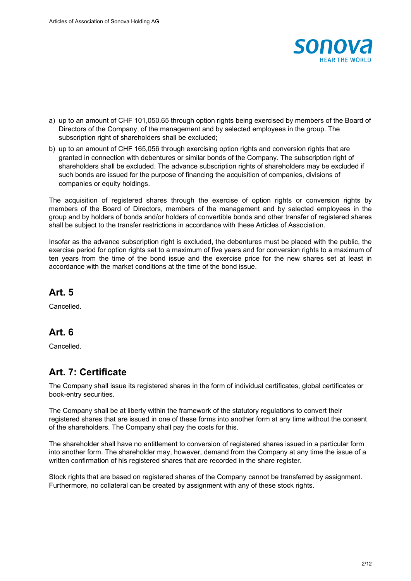

- a) up to an amount of CHF 101,050.65 through option rights being exercised by members of the Board of Directors of the Company, of the management and by selected employees in the group. The subscription right of shareholders shall be excluded;
- b) up to an amount of CHF 165,056 through exercising option rights and conversion rights that are granted in connection with debentures or similar bonds of the Company. The subscription right of shareholders shall be excluded. The advance subscription rights of shareholders may be excluded if such bonds are issued for the purpose of financing the acquisition of companies, divisions of companies or equity holdings.

The acquisition of registered shares through the exercise of option rights or conversion rights by members of the Board of Directors, members of the management and by selected employees in the group and by holders of bonds and/or holders of convertible bonds and other transfer of registered shares shall be subject to the transfer restrictions in accordance with these Articles of Association.

Insofar as the advance subscription right is excluded, the debentures must be placed with the public, the exercise period for option rights set to a maximum of five years and for conversion rights to a maximum of ten years from the time of the bond issue and the exercise price for the new shares set at least in accordance with the market conditions at the time of the bond issue.

#### **Art. 5**

Cancelled.

## **Art. 6**

Cancelled.

# **Art. 7: Certificate**

The Company shall issue its registered shares in the form of individual certificates, global certificates or book-entry securities.

The Company shall be at liberty within the framework of the statutory regulations to convert their registered shares that are issued in one of these forms into another form at any time without the consent of the shareholders. The Company shall pay the costs for this.

The shareholder shall have no entitlement to conversion of registered shares issued in a particular form into another form. The shareholder may, however, demand from the Company at any time the issue of a written confirmation of his registered shares that are recorded in the share register.

Stock rights that are based on registered shares of the Company cannot be transferred by assignment. Furthermore, no collateral can be created by assignment with any of these stock rights.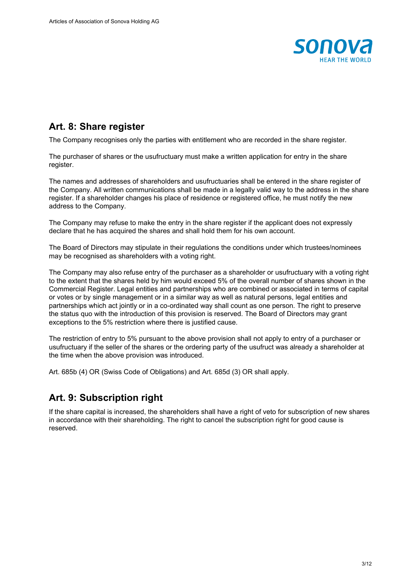

## **Art. 8: Share register**

The Company recognises only the parties with entitlement who are recorded in the share register.

The purchaser of shares or the usufructuary must make a written application for entry in the share register.

The names and addresses of shareholders and usufructuaries shall be entered in the share register of the Company. All written communications shall be made in a legally valid way to the address in the share register. If a shareholder changes his place of residence or registered office, he must notify the new address to the Company.

The Company may refuse to make the entry in the share register if the applicant does not expressly declare that he has acquired the shares and shall hold them for his own account.

The Board of Directors may stipulate in their regulations the conditions under which trustees/nominees may be recognised as shareholders with a voting right.

The Company may also refuse entry of the purchaser as a shareholder or usufructuary with a voting right to the extent that the shares held by him would exceed 5% of the overall number of shares shown in the Commercial Register. Legal entities and partnerships who are combined or associated in terms of capital or votes or by single management or in a similar way as well as natural persons, legal entities and partnerships which act jointly or in a co-ordinated way shall count as one person. The right to preserve the status quo with the introduction of this provision is reserved. The Board of Directors may grant exceptions to the 5% restriction where there is justified cause.

The restriction of entry to 5% pursuant to the above provision shall not apply to entry of a purchaser or usufructuary if the seller of the shares or the ordering party of the usufruct was already a shareholder at the time when the above provision was introduced.

Art. 685b (4) OR (Swiss Code of Obligations) and Art. 685d (3) OR shall apply.

# **Art. 9: Subscription right**

If the share capital is increased, the shareholders shall have a right of veto for subscription of new shares in accordance with their shareholding. The right to cancel the subscription right for good cause is reserved.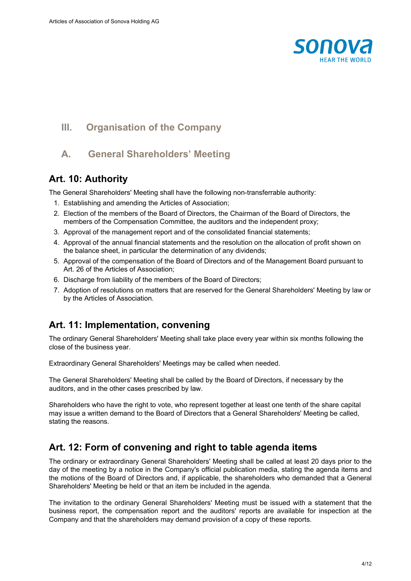

## **III. Organisation of the Company**

## **A. General Shareholders' Meeting**

#### **Art. 10: Authority**

The General Shareholders' Meeting shall have the following non-transferrable authority:

- 1. Establishing and amending the Articles of Association;
- 2. Election of the members of the Board of Directors, the Chairman of the Board of Directors, the members of the Compensation Committee, the auditors and the independent proxy;
- 3. Approval of the management report and of the consolidated financial statements;
- 4. Approval of the annual financial statements and the resolution on the allocation of profit shown on the balance sheet, in particular the determination of any dividends;
- 5. Approval of the compensation of the Board of Directors and of the Management Board pursuant to Art. 26 of the Articles of Association;
- 6. Discharge from liability of the members of the Board of Directors;
- 7. Adoption of resolutions on matters that are reserved for the General Shareholders' Meeting by law or by the Articles of Association.

## **Art. 11: Implementation, convening**

The ordinary General Shareholders' Meeting shall take place every year within six months following the close of the business year.

Extraordinary General Shareholders' Meetings may be called when needed.

The General Shareholders' Meeting shall be called by the Board of Directors, if necessary by the auditors, and in the other cases prescribed by law.

Shareholders who have the right to vote, who represent together at least one tenth of the share capital may issue a written demand to the Board of Directors that a General Shareholders' Meeting be called, stating the reasons.

## **Art. 12: Form of convening and right to table agenda items**

The ordinary or extraordinary General Shareholders' Meeting shall be called at least 20 days prior to the day of the meeting by a notice in the Company's official publication media, stating the agenda items and the motions of the Board of Directors and, if applicable, the shareholders who demanded that a General Shareholders' Meeting be held or that an item be included in the agenda.

The invitation to the ordinary General Shareholders' Meeting must be issued with a statement that the business report, the compensation report and the auditors' reports are available for inspection at the Company and that the shareholders may demand provision of a copy of these reports.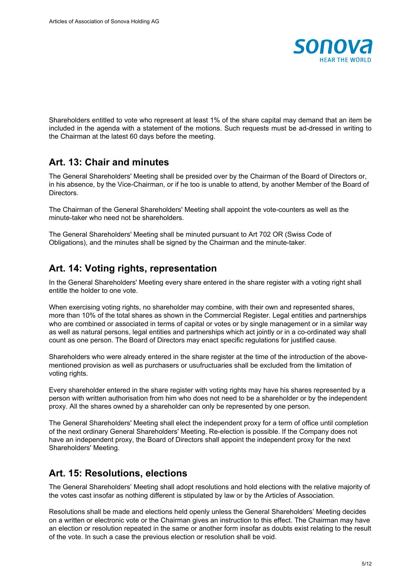

Shareholders entitled to vote who represent at least 1% of the share capital may demand that an item be included in the agenda with a statement of the motions. Such requests must be ad-dressed in writing to the Chairman at the latest 60 days before the meeting.

#### **Art. 13: Chair and minutes**

The General Shareholders' Meeting shall be presided over by the Chairman of the Board of Directors or, in his absence, by the Vice-Chairman, or if he too is unable to attend, by another Member of the Board of Directors.

The Chairman of the General Shareholders' Meeting shall appoint the vote-counters as well as the minute-taker who need not be shareholders.

The General Shareholders' Meeting shall be minuted pursuant to Art 702 OR (Swiss Code of Obligations), and the minutes shall be signed by the Chairman and the minute-taker.

#### **Art. 14: Voting rights, representation**

In the General Shareholders' Meeting every share entered in the share register with a voting right shall entitle the holder to one vote.

When exercising voting rights, no shareholder may combine, with their own and represented shares, more than 10% of the total shares as shown in the Commercial Register. Legal entities and partnerships who are combined or associated in terms of capital or votes or by single management or in a similar way as well as natural persons, legal entities and partnerships which act jointly or in a co-ordinated way shall count as one person. The Board of Directors may enact specific regulations for justified cause.

Shareholders who were already entered in the share register at the time of the introduction of the abovementioned provision as well as purchasers or usufructuaries shall be excluded from the limitation of voting rights.

Every shareholder entered in the share register with voting rights may have his shares represented by a person with written authorisation from him who does not need to be a shareholder or by the independent proxy. All the shares owned by a shareholder can only be represented by one person.

The General Shareholders' Meeting shall elect the independent proxy for a term of office until completion of the next ordinary General Shareholders' Meeting. Re-election is possible. If the Company does not have an independent proxy, the Board of Directors shall appoint the independent proxy for the next Shareholders' Meeting.

## **Art. 15: Resolutions, elections**

The General Shareholders' Meeting shall adopt resolutions and hold elections with the relative majority of the votes cast insofar as nothing different is stipulated by law or by the Articles of Association.

Resolutions shall be made and elections held openly unless the General Shareholders' Meeting decides on a written or electronic vote or the Chairman gives an instruction to this effect. The Chairman may have an election or resolution repeated in the same or another form insofar as doubts exist relating to the result of the vote. In such a case the previous election or resolution shall be void.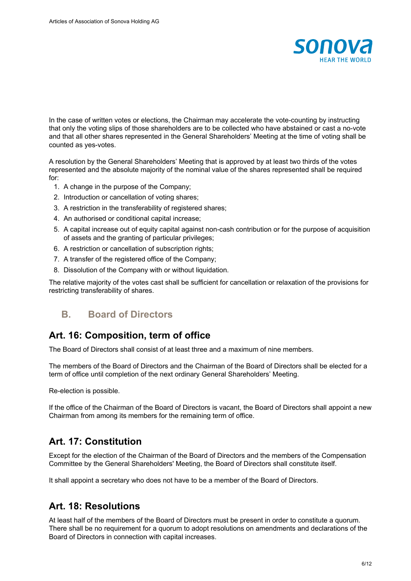

In the case of written votes or elections, the Chairman may accelerate the vote-counting by instructing that only the voting slips of those shareholders are to be collected who have abstained or cast a no-vote and that all other shares represented in the General Shareholders' Meeting at the time of voting shall be counted as yes-votes.

A resolution by the General Shareholders' Meeting that is approved by at least two thirds of the votes represented and the absolute majority of the nominal value of the shares represented shall be required for:

- 1. A change in the purpose of the Company;
- 2. Introduction or cancellation of voting shares;
- 3. A restriction in the transferability of registered shares;
- 4. An authorised or conditional capital increase;
- 5. A capital increase out of equity capital against non-cash contribution or for the purpose of acquisition of assets and the granting of particular privileges;
- 6. A restriction or cancellation of subscription rights;
- 7. A transfer of the registered office of the Company;
- 8. Dissolution of the Company with or without liquidation.

The relative majority of the votes cast shall be sufficient for cancellation or relaxation of the provisions for restricting transferability of shares.

#### **B. Board of Directors**

#### **Art. 16: Composition, term of office**

The Board of Directors shall consist of at least three and a maximum of nine members.

The members of the Board of Directors and the Chairman of the Board of Directors shall be elected for a term of office until completion of the next ordinary General Shareholders' Meeting.

Re-election is possible.

If the office of the Chairman of the Board of Directors is vacant, the Board of Directors shall appoint a new Chairman from among its members for the remaining term of office.

#### **Art. 17: Constitution**

Except for the election of the Chairman of the Board of Directors and the members of the Compensation Committee by the General Shareholders' Meeting, the Board of Directors shall constitute itself.

It shall appoint a secretary who does not have to be a member of the Board of Directors.

#### **Art. 18: Resolutions**

At least half of the members of the Board of Directors must be present in order to constitute a quorum. There shall be no requirement for a quorum to adopt resolutions on amendments and declarations of the Board of Directors in connection with capital increases.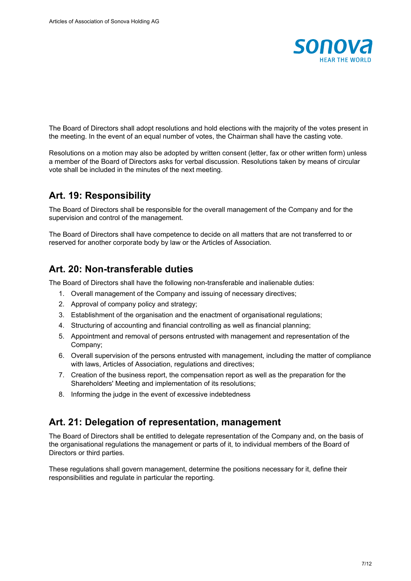

The Board of Directors shall adopt resolutions and hold elections with the majority of the votes present in the meeting. In the event of an equal number of votes, the Chairman shall have the casting vote.

Resolutions on a motion may also be adopted by written consent (letter, fax or other written form) unless a member of the Board of Directors asks for verbal discussion. Resolutions taken by means of circular vote shall be included in the minutes of the next meeting.

## **Art. 19: Responsibility**

The Board of Directors shall be responsible for the overall management of the Company and for the supervision and control of the management.

The Board of Directors shall have competence to decide on all matters that are not transferred to or reserved for another corporate body by law or the Articles of Association.

## **Art. 20: Non-transferable duties**

The Board of Directors shall have the following non-transferable and inalienable duties:

- 1. Overall management of the Company and issuing of necessary directives;
- 2. Approval of company policy and strategy;
- 3. Establishment of the organisation and the enactment of organisational regulations;
- 4. Structuring of accounting and financial controlling as well as financial planning;
- 5. Appointment and removal of persons entrusted with management and representation of the Company;
- 6. Overall supervision of the persons entrusted with management, including the matter of compliance with laws, Articles of Association, regulations and directives;
- 7. Creation of the business report, the compensation report as well as the preparation for the Shareholders' Meeting and implementation of its resolutions;
- 8. Informing the judge in the event of excessive indebtedness

#### **Art. 21: Delegation of representation, management**

The Board of Directors shall be entitled to delegate representation of the Company and, on the basis of the organisational regulations the management or parts of it, to individual members of the Board of Directors or third parties.

These regulations shall govern management, determine the positions necessary for it, define their responsibilities and regulate in particular the reporting.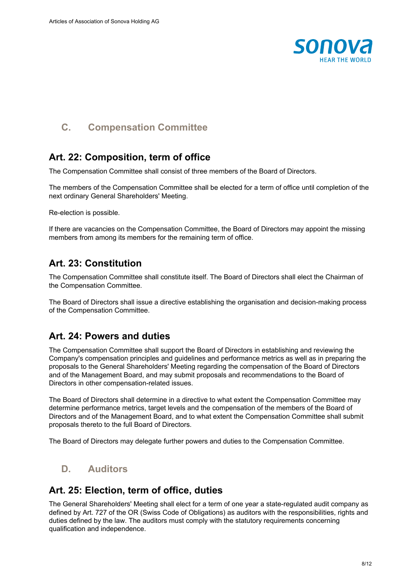

## **C. Compensation Committee**

## **Art. 22: Composition, term of office**

The Compensation Committee shall consist of three members of the Board of Directors.

The members of the Compensation Committee shall be elected for a term of office until completion of the next ordinary General Shareholders' Meeting.

Re-election is possible.

If there are vacancies on the Compensation Committee, the Board of Directors may appoint the missing members from among its members for the remaining term of office.

## **Art. 23: Constitution**

The Compensation Committee shall constitute itself. The Board of Directors shall elect the Chairman of the Compensation Committee.

The Board of Directors shall issue a directive establishing the organisation and decision-making process of the Compensation Committee.

## **Art. 24: Powers and duties**

The Compensation Committee shall support the Board of Directors in establishing and reviewing the Company's compensation principles and guidelines and performance metrics as well as in preparing the proposals to the General Shareholders' Meeting regarding the compensation of the Board of Directors and of the Management Board, and may submit proposals and recommendations to the Board of Directors in other compensation-related issues.

The Board of Directors shall determine in a directive to what extent the Compensation Committee may determine performance metrics, target levels and the compensation of the members of the Board of Directors and of the Management Board, and to what extent the Compensation Committee shall submit proposals thereto to the full Board of Directors.

The Board of Directors may delegate further powers and duties to the Compensation Committee.

## **D. Auditors**

## **Art. 25: Election, term of office, duties**

The General Shareholders' Meeting shall elect for a term of one year a state-regulated audit company as defined by Art. 727 of the OR (Swiss Code of Obligations) as auditors with the responsibilities, rights and duties defined by the law. The auditors must comply with the statutory requirements concerning qualification and independence.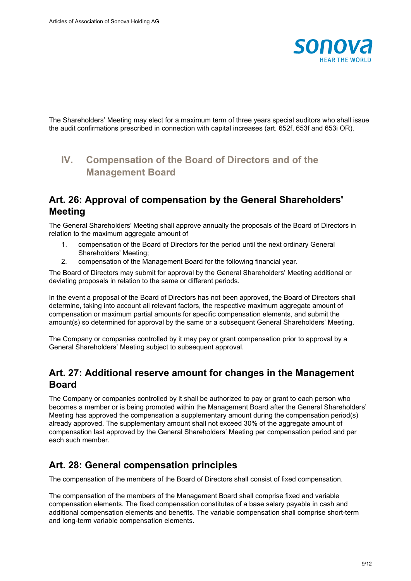

The Shareholders' Meeting may elect for a maximum term of three years special auditors who shall issue the audit confirmations prescribed in connection with capital increases (art. 652f, 653f and 653i OR).

# **IV. Compensation of the Board of Directors and of the Management Board**

#### **Art. 26: Approval of compensation by the General Shareholders' Meeting**

The General Shareholders' Meeting shall approve annually the proposals of the Board of Directors in relation to the maximum aggregate amount of

- 1. compensation of the Board of Directors for the period until the next ordinary General Shareholders' Meeting;
- 2. compensation of the Management Board for the following financial year.

The Board of Directors may submit for approval by the General Shareholders' Meeting additional or deviating proposals in relation to the same or different periods.

In the event a proposal of the Board of Directors has not been approved, the Board of Directors shall determine, taking into account all relevant factors, the respective maximum aggregate amount of compensation or maximum partial amounts for specific compensation elements, and submit the amount(s) so determined for approval by the same or a subsequent General Shareholders' Meeting.

The Company or companies controlled by it may pay or grant compensation prior to approval by a General Shareholders' Meeting subject to subsequent approval.

#### **Art. 27: Additional reserve amount for changes in the Management Board**

The Company or companies controlled by it shall be authorized to pay or grant to each person who becomes a member or is being promoted within the Management Board after the General Shareholders' Meeting has approved the compensation a supplementary amount during the compensation period(s) already approved. The supplementary amount shall not exceed 30% of the aggregate amount of compensation last approved by the General Shareholders' Meeting per compensation period and per each such member.

## **Art. 28: General compensation principles**

The compensation of the members of the Board of Directors shall consist of fixed compensation.

The compensation of the members of the Management Board shall comprise fixed and variable compensation elements. The fixed compensation constitutes of a base salary payable in cash and additional compensation elements and benefits. The variable compensation shall comprise short-term and long-term variable compensation elements.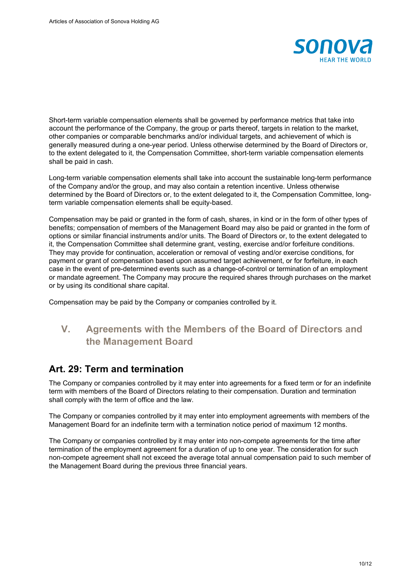

Short-term variable compensation elements shall be governed by performance metrics that take into account the performance of the Company, the group or parts thereof, targets in relation to the market, other companies or comparable benchmarks and/or individual targets, and achievement of which is generally measured during a one-year period. Unless otherwise determined by the Board of Directors or, to the extent delegated to it, the Compensation Committee, short-term variable compensation elements shall be paid in cash.

Long-term variable compensation elements shall take into account the sustainable long-term performance of the Company and/or the group, and may also contain a retention incentive. Unless otherwise determined by the Board of Directors or, to the extent delegated to it, the Compensation Committee, longterm variable compensation elements shall be equity-based.

Compensation may be paid or granted in the form of cash, shares, in kind or in the form of other types of benefits; compensation of members of the Management Board may also be paid or granted in the form of options or similar financial instruments and/or units. The Board of Directors or, to the extent delegated to it, the Compensation Committee shall determine grant, vesting, exercise and/or forfeiture conditions. They may provide for continuation, acceleration or removal of vesting and/or exercise conditions, for payment or grant of compensation based upon assumed target achievement, or for forfeiture, in each case in the event of pre-determined events such as a change-of-control or termination of an employment or mandate agreement. The Company may procure the required shares through purchases on the market or by using its conditional share capital.

Compensation may be paid by the Company or companies controlled by it.

# **V. Agreements with the Members of the Board of Directors and the Management Board**

#### **Art. 29: Term and termination**

The Company or companies controlled by it may enter into agreements for a fixed term or for an indefinite term with members of the Board of Directors relating to their compensation. Duration and termination shall comply with the term of office and the law.

The Company or companies controlled by it may enter into employment agreements with members of the Management Board for an indefinite term with a termination notice period of maximum 12 months.

The Company or companies controlled by it may enter into non-compete agreements for the time after termination of the employment agreement for a duration of up to one year. The consideration for such non-compete agreement shall not exceed the average total annual compensation paid to such member of the Management Board during the previous three financial years.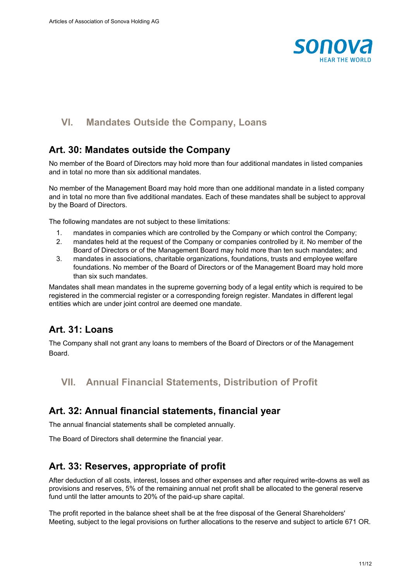

## **VI. Mandates Outside the Company, Loans**

#### **Art. 30: Mandates outside the Company**

No member of the Board of Directors may hold more than four additional mandates in listed companies and in total no more than six additional mandates.

No member of the Management Board may hold more than one additional mandate in a listed company and in total no more than five additional mandates. Each of these mandates shall be subject to approval by the Board of Directors.

The following mandates are not subject to these limitations:

- 1. mandates in companies which are controlled by the Company or which control the Company;
- 2. mandates held at the request of the Company or companies controlled by it. No member of the Board of Directors or of the Management Board may hold more than ten such mandates; and
- 3. mandates in associations, charitable organizations, foundations, trusts and employee welfare foundations. No member of the Board of Directors or of the Management Board may hold more than six such mandates.

Mandates shall mean mandates in the supreme governing body of a legal entity which is required to be registered in the commercial register or a corresponding foreign register. Mandates in different legal entities which are under joint control are deemed one mandate.

## **Art. 31: Loans**

The Company shall not grant any loans to members of the Board of Directors or of the Management **Board** 

## **VII. Annual Financial Statements, Distribution of Profit**

#### **Art. 32: Annual financial statements, financial year**

The annual financial statements shall be completed annually.

The Board of Directors shall determine the financial year.

#### **Art. 33: Reserves, appropriate of profit**

After deduction of all costs, interest, losses and other expenses and after required write-downs as well as provisions and reserves, 5% of the remaining annual net profit shall be allocated to the general reserve fund until the latter amounts to 20% of the paid-up share capital.

The profit reported in the balance sheet shall be at the free disposal of the General Shareholders' Meeting, subject to the legal provisions on further allocations to the reserve and subject to article 671 OR.